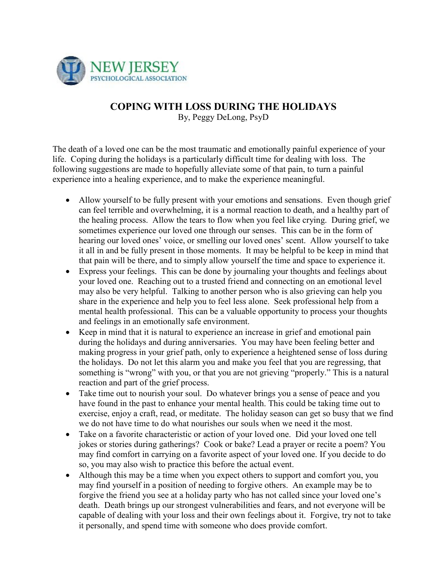

## **COPING WITH LOSS DURING THE HOLIDAYS**

By, Peggy DeLong, PsyD

The death of a loved one can be the most traumatic and emotionally painful experience of your life. Coping during the holidays is a particularly difficult time for dealing with loss. The following suggestions are made to hopefully alleviate some of that pain, to turn a painful experience into a healing experience, and to make the experience meaningful.

- Allow yourself to be fully present with your emotions and sensations. Even though grief can feel terrible and overwhelming, it is a normal reaction to death, and a healthy part of the healing process. Allow the tears to flow when you feel like crying. During grief, we sometimes experience our loved one through our senses. This can be in the form of hearing our loved ones' voice, or smelling our loved ones' scent. Allow yourself to take it all in and be fully present in those moments. It may be helpful to be keep in mind that that pain will be there, and to simply allow yourself the time and space to experience it.
- Express your feelings. This can be done by journaling your thoughts and feelings about your loved one. Reaching out to a trusted friend and connecting on an emotional level may also be very helpful. Talking to another person who is also grieving can help you share in the experience and help you to feel less alone. Seek professional help from a mental health professional. This can be a valuable opportunity to process your thoughts and feelings in an emotionally safe environment.
- Keep in mind that it is natural to experience an increase in grief and emotional pain during the holidays and during anniversaries. You may have been feeling better and making progress in your grief path, only to experience a heightened sense of loss during the holidays. Do not let this alarm you and make you feel that you are regressing, that something is "wrong" with you, or that you are not grieving "properly." This is a natural reaction and part of the grief process.
- Take time out to nourish your soul. Do whatever brings you a sense of peace and you have found in the past to enhance your mental health. This could be taking time out to exercise, enjoy a craft, read, or meditate. The holiday season can get so busy that we find we do not have time to do what nourishes our souls when we need it the most.
- Take on a favorite characteristic or action of your loved one. Did your loved one tell jokes or stories during gatherings? Cook or bake? Lead a prayer or recite a poem? You may find comfort in carrying on a favorite aspect of your loved one. If you decide to do so, you may also wish to practice this before the actual event.
- Although this may be a time when you expect others to support and comfort you, you may find yourself in a position of needing to forgive others. An example may be to forgive the friend you see at a holiday party who has not called since your loved one's death. Death brings up our strongest vulnerabilities and fears, and not everyone will be capable of dealing with your loss and their own feelings about it. Forgive, try not to take it personally, and spend time with someone who does provide comfort.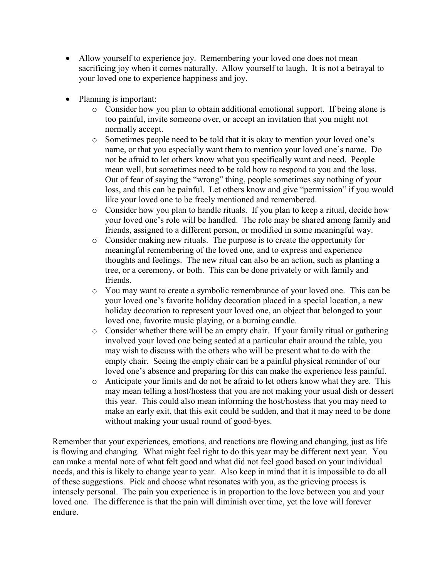- Allow yourself to experience joy. Remembering your loved one does not mean sacrificing joy when it comes naturally. Allow yourself to laugh. It is not a betrayal to your loved one to experience happiness and joy.
- Planning is important:
	- o Consider how you plan to obtain additional emotional support. If being alone is too painful, invite someone over, or accept an invitation that you might not normally accept.
	- o Sometimes people need to be told that it is okay to mention your loved one's name, or that you especially want them to mention your loved one's name. Do not be afraid to let others know what you specifically want and need. People mean well, but sometimes need to be told how to respond to you and the loss. Out of fear of saying the "wrong" thing, people sometimes say nothing of your loss, and this can be painful. Let others know and give "permission" if you would like your loved one to be freely mentioned and remembered.
	- o Consider how you plan to handle rituals. If you plan to keep a ritual, decide how your loved one's role will be handled. The role may be shared among family and friends, assigned to a different person, or modified in some meaningful way.
	- o Consider making new rituals. The purpose is to create the opportunity for meaningful remembering of the loved one, and to express and experience thoughts and feelings. The new ritual can also be an action, such as planting a tree, or a ceremony, or both. This can be done privately or with family and friends.
	- o You may want to create a symbolic remembrance of your loved one. This can be your loved one's favorite holiday decoration placed in a special location, a new holiday decoration to represent your loved one, an object that belonged to your loved one, favorite music playing, or a burning candle.
	- o Consider whether there will be an empty chair. If your family ritual or gathering involved your loved one being seated at a particular chair around the table, you may wish to discuss with the others who will be present what to do with the empty chair. Seeing the empty chair can be a painful physical reminder of our loved one's absence and preparing for this can make the experience less painful.
	- o Anticipate your limits and do not be afraid to let others know what they are. This may mean telling a host/hostess that you are not making your usual dish or dessert this year. This could also mean informing the host/hostess that you may need to make an early exit, that this exit could be sudden, and that it may need to be done without making your usual round of good-byes.

Remember that your experiences, emotions, and reactions are flowing and changing, just as life is flowing and changing. What might feel right to do this year may be different next year. You can make a mental note of what felt good and what did not feel good based on your individual needs, and this is likely to change year to year. Also keep in mind that it is impossible to do all of these suggestions. Pick and choose what resonates with you, as the grieving process is intensely personal. The pain you experience is in proportion to the love between you and your loved one. The difference is that the pain will diminish over time, yet the love will forever endure.